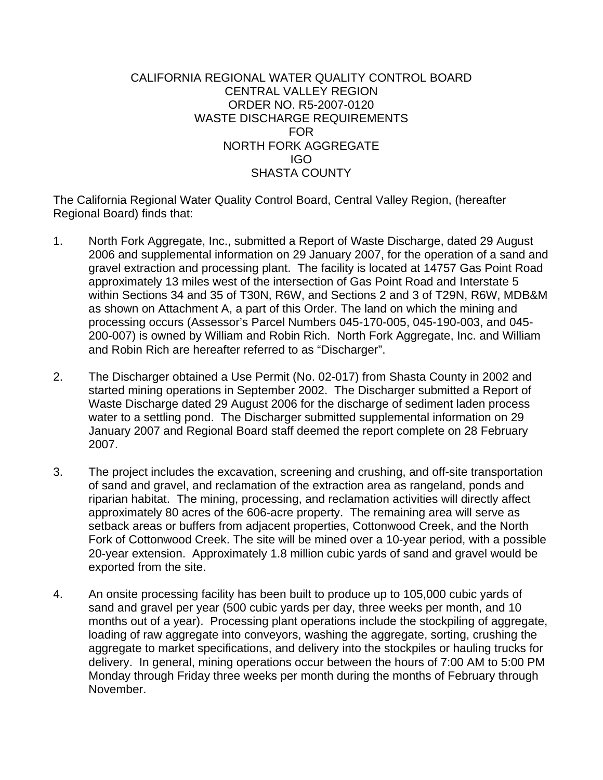# CALIFORNIA REGIONAL WATER QUALITY CONTROL BOARD CENTRAL VALLEY REGION ORDER NO. R5-2007-0120 WASTE DISCHARGE REQUIREMENTS FOR NORTH FORK AGGREGATE IGO SHASTA COUNTY

The California Regional Water Quality Control Board, Central Valley Region, (hereafter Regional Board) finds that:

- 1. North Fork Aggregate, Inc., submitted a Report of Waste Discharge, dated 29 August 2006 and supplemental information on 29 January 2007, for the operation of a sand and gravel extraction and processing plant. The facility is located at 14757 Gas Point Road approximately 13 miles west of the intersection of Gas Point Road and Interstate 5 within Sections 34 and 35 of T30N, R6W, and Sections 2 and 3 of T29N, R6W, MDB&M as shown on Attachment A, a part of this Order. The land on which the mining and processing occurs (Assessor's Parcel Numbers 045-170-005, 045-190-003, and 045- 200-007) is owned by William and Robin Rich. North Fork Aggregate, Inc. and William and Robin Rich are hereafter referred to as "Discharger".
- 2. The Discharger obtained a Use Permit (No. 02-017) from Shasta County in 2002 and started mining operations in September 2002. The Discharger submitted a Report of Waste Discharge dated 29 August 2006 for the discharge of sediment laden process water to a settling pond. The Discharger submitted supplemental information on 29 January 2007 and Regional Board staff deemed the report complete on 28 February 2007.
- 3. The project includes the excavation, screening and crushing, and off-site transportation of sand and gravel, and reclamation of the extraction area as rangeland, ponds and riparian habitat. The mining, processing, and reclamation activities will directly affect approximately 80 acres of the 606-acre property. The remaining area will serve as setback areas or buffers from adjacent properties, Cottonwood Creek, and the North Fork of Cottonwood Creek. The site will be mined over a 10-year period, with a possible 20-year extension. Approximately 1.8 million cubic yards of sand and gravel would be exported from the site.
- 4. An onsite processing facility has been built to produce up to 105,000 cubic yards of sand and gravel per year (500 cubic yards per day, three weeks per month, and 10 months out of a year). Processing plant operations include the stockpiling of aggregate, loading of raw aggregate into conveyors, washing the aggregate, sorting, crushing the aggregate to market specifications, and delivery into the stockpiles or hauling trucks for delivery. In general, mining operations occur between the hours of 7:00 AM to 5:00 PM Monday through Friday three weeks per month during the months of February through November.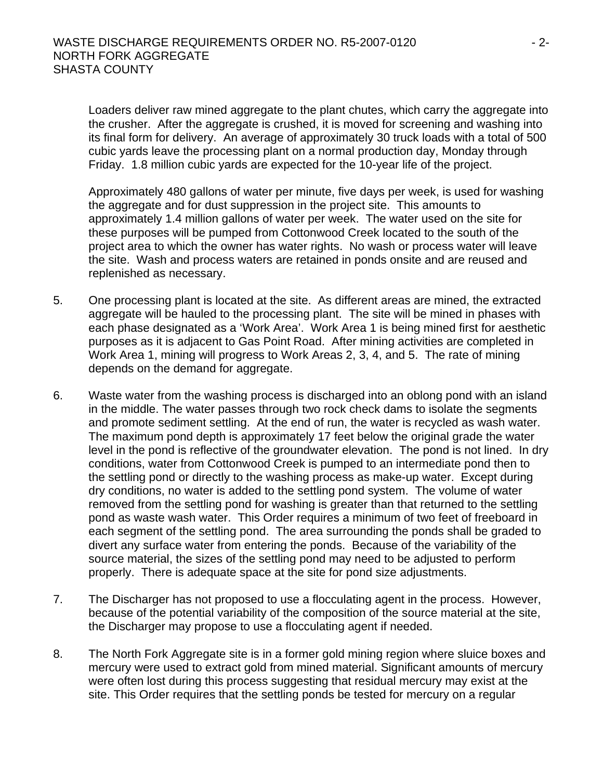Loaders deliver raw mined aggregate to the plant chutes, which carry the aggregate into the crusher. After the aggregate is crushed, it is moved for screening and washing into its final form for delivery. An average of approximately 30 truck loads with a total of 500 cubic yards leave the processing plant on a normal production day, Monday through Friday. 1.8 million cubic yards are expected for the 10-year life of the project.

Approximately 480 gallons of water per minute, five days per week, is used for washing the aggregate and for dust suppression in the project site. This amounts to approximately 1.4 million gallons of water per week. The water used on the site for these purposes will be pumped from Cottonwood Creek located to the south of the project area to which the owner has water rights. No wash or process water will leave the site. Wash and process waters are retained in ponds onsite and are reused and replenished as necessary.

- 5. One processing plant is located at the site. As different areas are mined, the extracted aggregate will be hauled to the processing plant. The site will be mined in phases with each phase designated as a 'Work Area'. Work Area 1 is being mined first for aesthetic purposes as it is adjacent to Gas Point Road. After mining activities are completed in Work Area 1, mining will progress to Work Areas 2, 3, 4, and 5. The rate of mining depends on the demand for aggregate.
- 6. Waste water from the washing process is discharged into an oblong pond with an island in the middle. The water passes through two rock check dams to isolate the segments and promote sediment settling. At the end of run, the water is recycled as wash water. The maximum pond depth is approximately 17 feet below the original grade the water level in the pond is reflective of the groundwater elevation. The pond is not lined. In dry conditions, water from Cottonwood Creek is pumped to an intermediate pond then to the settling pond or directly to the washing process as make-up water. Except during dry conditions, no water is added to the settling pond system. The volume of water removed from the settling pond for washing is greater than that returned to the settling pond as waste wash water. This Order requires a minimum of two feet of freeboard in each segment of the settling pond. The area surrounding the ponds shall be graded to divert any surface water from entering the ponds. Because of the variability of the source material, the sizes of the settling pond may need to be adjusted to perform properly. There is adequate space at the site for pond size adjustments.
- 7. The Discharger has not proposed to use a flocculating agent in the process. However, because of the potential variability of the composition of the source material at the site, the Discharger may propose to use a flocculating agent if needed.
- 8. The North Fork Aggregate site is in a former gold mining region where sluice boxes and mercury were used to extract gold from mined material. Significant amounts of mercury were often lost during this process suggesting that residual mercury may exist at the site. This Order requires that the settling ponds be tested for mercury on a regular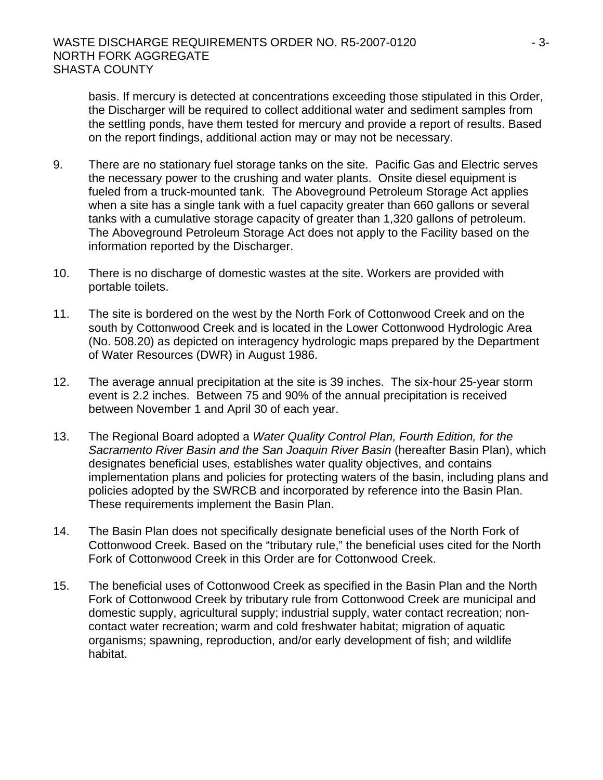basis. If mercury is detected at concentrations exceeding those stipulated in this Order, the Discharger will be required to collect additional water and sediment samples from the settling ponds, have them tested for mercury and provide a report of results. Based on the report findings, additional action may or may not be necessary.

- 9. There are no stationary fuel storage tanks on the site. Pacific Gas and Electric serves the necessary power to the crushing and water plants. Onsite diesel equipment is fueled from a truck-mounted tank. The Aboveground Petroleum Storage Act applies when a site has a single tank with a fuel capacity greater than 660 gallons or several tanks with a cumulative storage capacity of greater than 1,320 gallons of petroleum. The Aboveground Petroleum Storage Act does not apply to the Facility based on the information reported by the Discharger.
- 10. There is no discharge of domestic wastes at the site. Workers are provided with portable toilets.
- 11. The site is bordered on the west by the North Fork of Cottonwood Creek and on the south by Cottonwood Creek and is located in the Lower Cottonwood Hydrologic Area (No. 508.20) as depicted on interagency hydrologic maps prepared by the Department of Water Resources (DWR) in August 1986.
- 12. The average annual precipitation at the site is 39 inches. The six-hour 25-year storm event is 2.2 inches. Between 75 and 90% of the annual precipitation is received between November 1 and April 30 of each year.
- 13. The Regional Board adopted a *Water Quality Control Plan, Fourth Edition, for the Sacramento River Basin and the San Joaquin River Basin* (hereafter Basin Plan), which designates beneficial uses, establishes water quality objectives, and contains implementation plans and policies for protecting waters of the basin, including plans and policies adopted by the SWRCB and incorporated by reference into the Basin Plan. These requirements implement the Basin Plan.
- 14. The Basin Plan does not specifically designate beneficial uses of the North Fork of Cottonwood Creek. Based on the "tributary rule," the beneficial uses cited for the North Fork of Cottonwood Creek in this Order are for Cottonwood Creek.
- 15. The beneficial uses of Cottonwood Creek as specified in the Basin Plan and the North Fork of Cottonwood Creek by tributary rule from Cottonwood Creek are municipal and domestic supply, agricultural supply; industrial supply, water contact recreation; noncontact water recreation; warm and cold freshwater habitat; migration of aquatic organisms; spawning, reproduction, and/or early development of fish; and wildlife habitat.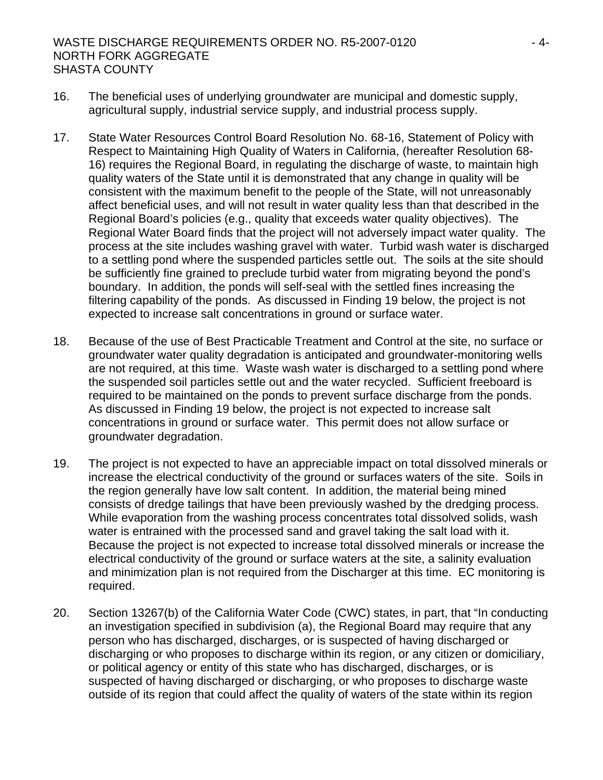### WASTE DISCHARGE REQUIREMENTS ORDER NO. R5-2007-0120 FALL CALL THE SET OF ALL CALL THE SET OF ALL CALL THE SET O NORTH FORK AGGREGATE SHASTA COUNTY

- 16. The beneficial uses of underlying groundwater are municipal and domestic supply, agricultural supply, industrial service supply, and industrial process supply.
- 17. State Water Resources Control Board Resolution No. 68-16, Statement of Policy with Respect to Maintaining High Quality of Waters in California, (hereafter Resolution 68- 16) requires the Regional Board, in regulating the discharge of waste, to maintain high quality waters of the State until it is demonstrated that any change in quality will be consistent with the maximum benefit to the people of the State, will not unreasonably affect beneficial uses, and will not result in water quality less than that described in the Regional Board's policies (e.g., quality that exceeds water quality objectives). The Regional Water Board finds that the project will not adversely impact water quality. The process at the site includes washing gravel with water. Turbid wash water is discharged to a settling pond where the suspended particles settle out. The soils at the site should be sufficiently fine grained to preclude turbid water from migrating beyond the pond's boundary. In addition, the ponds will self-seal with the settled fines increasing the filtering capability of the ponds. As discussed in Finding 19 below, the project is not expected to increase salt concentrations in ground or surface water.
- 18. Because of the use of Best Practicable Treatment and Control at the site, no surface or groundwater water quality degradation is anticipated and groundwater-monitoring wells are not required, at this time. Waste wash water is discharged to a settling pond where the suspended soil particles settle out and the water recycled. Sufficient freeboard is required to be maintained on the ponds to prevent surface discharge from the ponds. As discussed in Finding 19 below, the project is not expected to increase salt concentrations in ground or surface water. This permit does not allow surface or groundwater degradation.
- 19. The project is not expected to have an appreciable impact on total dissolved minerals or increase the electrical conductivity of the ground or surfaces waters of the site. Soils in the region generally have low salt content. In addition, the material being mined consists of dredge tailings that have been previously washed by the dredging process. While evaporation from the washing process concentrates total dissolved solids, wash water is entrained with the processed sand and gravel taking the salt load with it. Because the project is not expected to increase total dissolved minerals or increase the electrical conductivity of the ground or surface waters at the site, a salinity evaluation and minimization plan is not required from the Discharger at this time. EC monitoring is required.
- 20. Section 13267(b) of the California Water Code (CWC) states, in part, that "In conducting an investigation specified in subdivision (a), the Regional Board may require that any person who has discharged, discharges, or is suspected of having discharged or discharging or who proposes to discharge within its region, or any citizen or domiciliary, or political agency or entity of this state who has discharged, discharges, or is suspected of having discharged or discharging, or who proposes to discharge waste outside of its region that could affect the quality of waters of the state within its region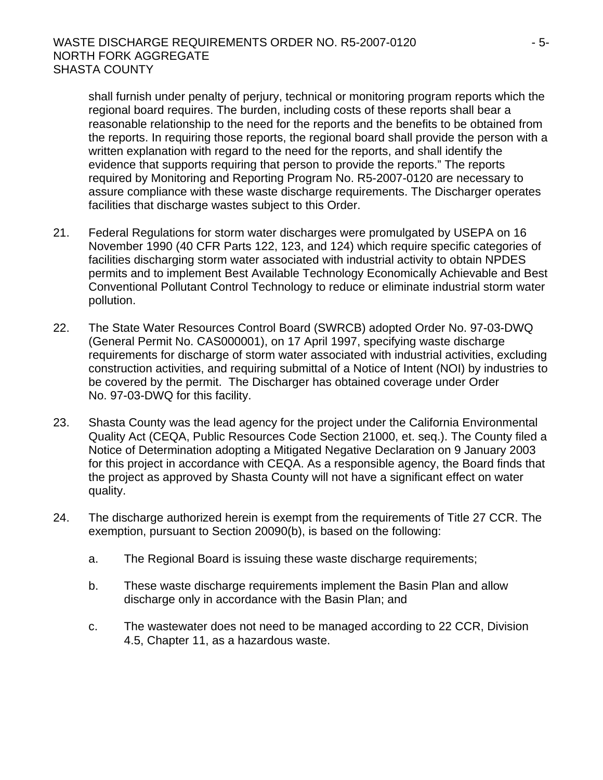## WASTE DISCHARGE REQUIREMENTS ORDER NO. R5-2007-0120  $-5$ -NORTH FORK AGGREGATE SHASTA COUNTY

shall furnish under penalty of perjury, technical or monitoring program reports which the regional board requires. The burden, including costs of these reports shall bear a reasonable relationship to the need for the reports and the benefits to be obtained from the reports. In requiring those reports, the regional board shall provide the person with a written explanation with regard to the need for the reports, and shall identify the evidence that supports requiring that person to provide the reports." The reports required by Monitoring and Reporting Program No. R5-2007-0120 are necessary to assure compliance with these waste discharge requirements. The Discharger operates facilities that discharge wastes subject to this Order.

- 21. Federal Regulations for storm water discharges were promulgated by USEPA on 16 November 1990 (40 CFR Parts 122, 123, and 124) which require specific categories of facilities discharging storm water associated with industrial activity to obtain NPDES permits and to implement Best Available Technology Economically Achievable and Best Conventional Pollutant Control Technology to reduce or eliminate industrial storm water pollution.
- 22. The State Water Resources Control Board (SWRCB) adopted Order No. 97-03-DWQ (General Permit No. CAS000001), on 17 April 1997, specifying waste discharge requirements for discharge of storm water associated with industrial activities, excluding construction activities, and requiring submittal of a Notice of Intent (NOI) by industries to be covered by the permit. The Discharger has obtained coverage under Order No. 97-03-DWQ for this facility.
- 23. Shasta County was the lead agency for the project under the California Environmental Quality Act (CEQA, Public Resources Code Section 21000, et. seq.). The County filed a Notice of Determination adopting a Mitigated Negative Declaration on 9 January 2003 for this project in accordance with CEQA. As a responsible agency, the Board finds that the project as approved by Shasta County will not have a significant effect on water quality.
- 24. The discharge authorized herein is exempt from the requirements of Title 27 CCR. The exemption, pursuant to Section 20090(b), is based on the following:
	- a. The Regional Board is issuing these waste discharge requirements;
	- b. These waste discharge requirements implement the Basin Plan and allow discharge only in accordance with the Basin Plan; and
	- c. The wastewater does not need to be managed according to 22 CCR, Division 4.5, Chapter 11, as a hazardous waste.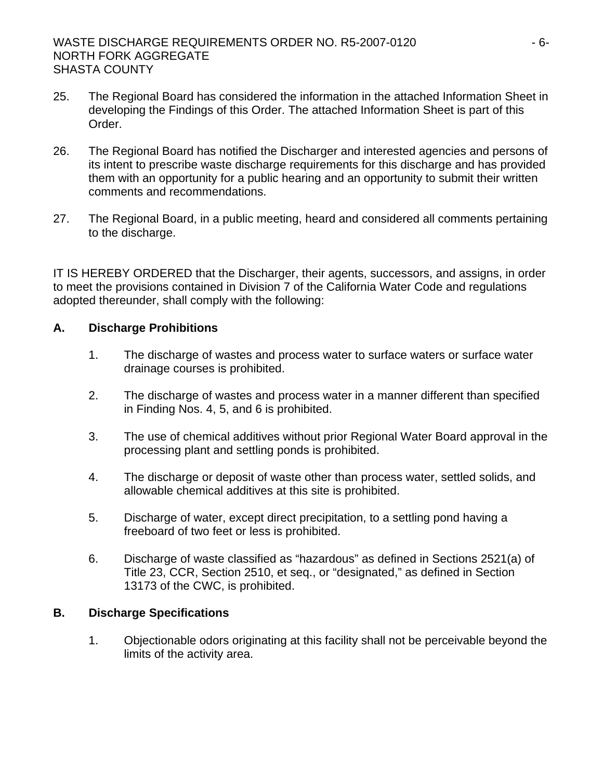- 25. The Regional Board has considered the information in the attached Information Sheet in developing the Findings of this Order. The attached Information Sheet is part of this Order.
- 26. The Regional Board has notified the Discharger and interested agencies and persons of its intent to prescribe waste discharge requirements for this discharge and has provided them with an opportunity for a public hearing and an opportunity to submit their written comments and recommendations.
- 27. The Regional Board, in a public meeting, heard and considered all comments pertaining to the discharge.

IT IS HEREBY ORDERED that the Discharger, their agents, successors, and assigns, in order to meet the provisions contained in Division 7 of the California Water Code and regulations adopted thereunder, shall comply with the following:

# **A. Discharge Prohibitions**

- 1. The discharge of wastes and process water to surface waters or surface water drainage courses is prohibited.
- 2. The discharge of wastes and process water in a manner different than specified in Finding Nos. 4, 5, and 6 is prohibited.
- 3. The use of chemical additives without prior Regional Water Board approval in the processing plant and settling ponds is prohibited.
- 4. The discharge or deposit of waste other than process water, settled solids, and allowable chemical additives at this site is prohibited.
- 5. Discharge of water, except direct precipitation, to a settling pond having a freeboard of two feet or less is prohibited.
- 6. Discharge of waste classified as "hazardous" as defined in Sections 2521(a) of Title 23, CCR, Section 2510, et seq., or "designated," as defined in Section 13173 of the CWC, is prohibited.

# **B. Discharge Specifications**

1. Objectionable odors originating at this facility shall not be perceivable beyond the limits of the activity area.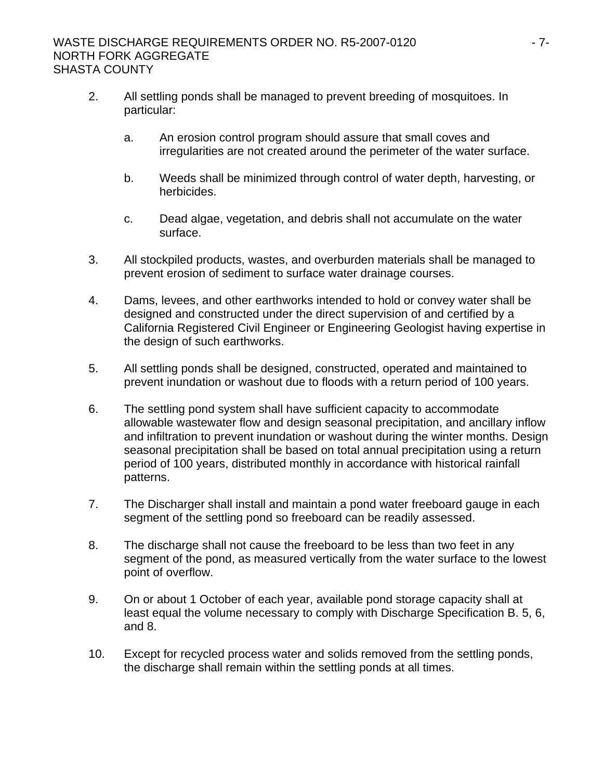#### WASTE DISCHARGE REQUIREMENTS ORDER NO. R5-2007-0120 NORTH FORK AGGREGATE SHASTA COUNTY

- 2. All settling ponds shall be managed to prevent breeding of mosquitoes. In particular:
	- a. An erosion control program should assure that small coves and irregularities are not created around the perimeter of the water surface.
	- b. Weeds shall be minimized through control of water depth, harvesting, or herbicides.
	- c. Dead algae, vegetation, and debris shall not accumulate on the water surface.
- 3. All stockpiled products, wastes, and overburden materials shall be managed to prevent erosion of sediment to surface water drainage courses.
- 4. Dams, levees, and other earthworks intended to hold or convey water shall be designed and constructed under the direct supervision of and certified by a California Registered Civil Engineer or Engineering Geologist having expertise in the design of such earthworks.
- 5. All settling ponds shall be designed, constructed, operated and maintained to prevent inundation or washout due to floods with a return period of 100 years.
- 6. The settling pond system shall have sufficient capacity to accommodate allowable wastewater flow and design seasonal precipitation, and ancillary inflow and infiltration to prevent inundation or washout during the winter months. Design seasonal precipitation shall be based on total annual precipitation using a return period of 100 years, distributed monthly in accordance with historical rainfall patterns.
- 7. The Discharger shall install and maintain a pond water freeboard gauge in each segment of the settling pond so freeboard can be readily assessed.
- 8. The discharge shall not cause the freeboard to be less than two feet in any segment of the pond, as measured vertically from the water surface to the lowest point of overflow.
- 9. On or about 1 October of each year, available pond storage capacity shall at least equal the volume necessary to comply with Discharge Specification B. 5, 6, and 8.
- 10. Except for recycled process water and solids removed from the settling ponds, the discharge shall remain within the settling ponds at all times.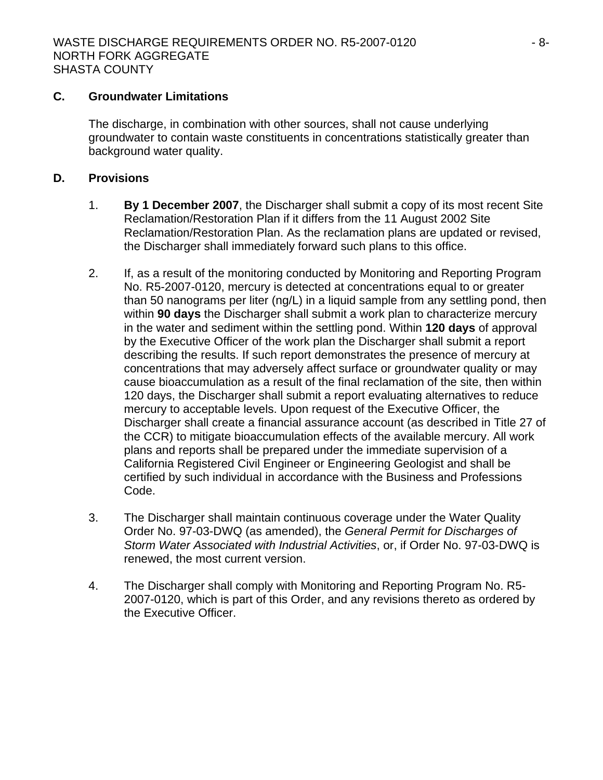#### **C. Groundwater Limitations**

The discharge, in combination with other sources, shall not cause underlying groundwater to contain waste constituents in concentrations statistically greater than background water quality.

# **D. Provisions**

- 1. **By 1 December 2007**, the Discharger shall submit a copy of its most recent Site Reclamation/Restoration Plan if it differs from the 11 August 2002 Site Reclamation/Restoration Plan. As the reclamation plans are updated or revised, the Discharger shall immediately forward such plans to this office.
- 2. If, as a result of the monitoring conducted by Monitoring and Reporting Program No. R5-2007-0120, mercury is detected at concentrations equal to or greater than 50 nanograms per liter (ng/L) in a liquid sample from any settling pond, then within **90 days** the Discharger shall submit a work plan to characterize mercury in the water and sediment within the settling pond. Within **120 days** of approval by the Executive Officer of the work plan the Discharger shall submit a report describing the results. If such report demonstrates the presence of mercury at concentrations that may adversely affect surface or groundwater quality or may cause bioaccumulation as a result of the final reclamation of the site, then within 120 days, the Discharger shall submit a report evaluating alternatives to reduce mercury to acceptable levels. Upon request of the Executive Officer, the Discharger shall create a financial assurance account (as described in Title 27 of the CCR) to mitigate bioaccumulation effects of the available mercury. All work plans and reports shall be prepared under the immediate supervision of a California Registered Civil Engineer or Engineering Geologist and shall be certified by such individual in accordance with the Business and Professions Code.
- 3. The Discharger shall maintain continuous coverage under the Water Quality Order No. 97-03-DWQ (as amended), the *General Permit for Discharges of Storm Water Associated with Industrial Activities*, or, if Order No. 97-03-DWQ is renewed, the most current version.
- 4. The Discharger shall comply with Monitoring and Reporting Program No. R5- 2007-0120, which is part of this Order, and any revisions thereto as ordered by the Executive Officer.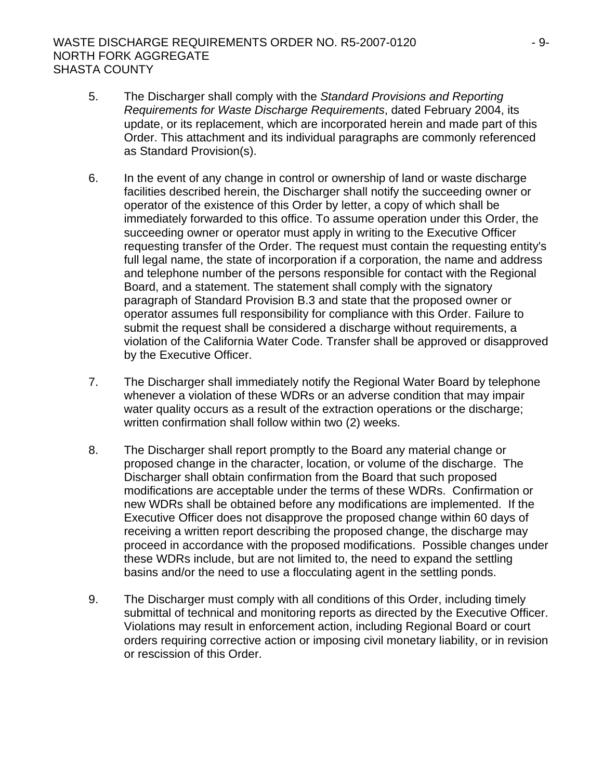# WASTE DISCHARGE REQUIREMENTS ORDER NO. R5-2007-0120  $-9$ -9-NORTH FORK AGGREGATE SHASTA COUNTY

- 5. The Discharger shall comply with the *Standard Provisions and Reporting Requirements for Waste Discharge Requirements*, dated February 2004, its update, or its replacement, which are incorporated herein and made part of this Order. This attachment and its individual paragraphs are commonly referenced as Standard Provision(s).
- 6. In the event of any change in control or ownership of land or waste discharge facilities described herein, the Discharger shall notify the succeeding owner or operator of the existence of this Order by letter, a copy of which shall be immediately forwarded to this office. To assume operation under this Order, the succeeding owner or operator must apply in writing to the Executive Officer requesting transfer of the Order. The request must contain the requesting entity's full legal name, the state of incorporation if a corporation, the name and address and telephone number of the persons responsible for contact with the Regional Board, and a statement. The statement shall comply with the signatory paragraph of Standard Provision B.3 and state that the proposed owner or operator assumes full responsibility for compliance with this Order. Failure to submit the request shall be considered a discharge without requirements, a violation of the California Water Code. Transfer shall be approved or disapproved by the Executive Officer.
- 7. The Discharger shall immediately notify the Regional Water Board by telephone whenever a violation of these WDRs or an adverse condition that may impair water quality occurs as a result of the extraction operations or the discharge; written confirmation shall follow within two (2) weeks.
- 8. The Discharger shall report promptly to the Board any material change or proposed change in the character, location, or volume of the discharge. The Discharger shall obtain confirmation from the Board that such proposed modifications are acceptable under the terms of these WDRs. Confirmation or new WDRs shall be obtained before any modifications are implemented. If the Executive Officer does not disapprove the proposed change within 60 days of receiving a written report describing the proposed change, the discharge may proceed in accordance with the proposed modifications. Possible changes under these WDRs include, but are not limited to, the need to expand the settling basins and/or the need to use a flocculating agent in the settling ponds.
- 9. The Discharger must comply with all conditions of this Order, including timely submittal of technical and monitoring reports as directed by the Executive Officer. Violations may result in enforcement action, including Regional Board or court orders requiring corrective action or imposing civil monetary liability, or in revision or rescission of this Order.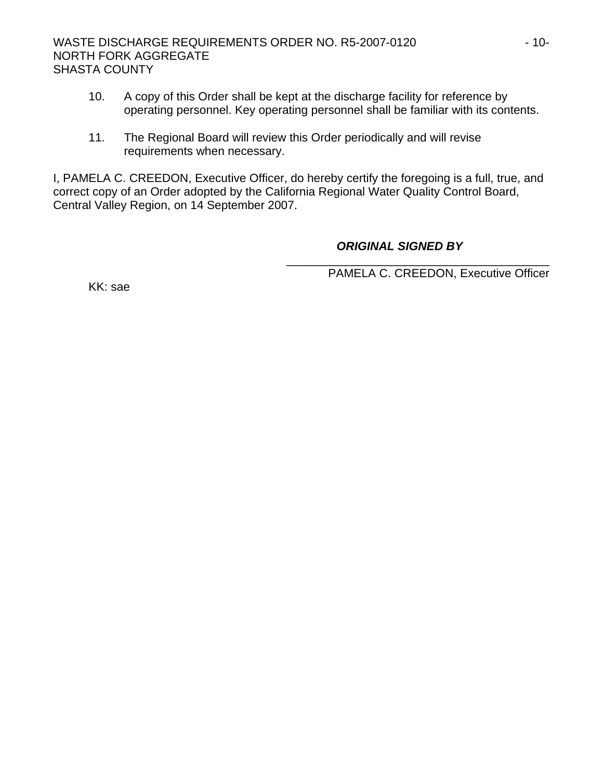- 10. A copy of this Order shall be kept at the discharge facility for reference by operating personnel. Key operating personnel shall be familiar with its contents.
- 11. The Regional Board will review this Order periodically and will revise requirements when necessary.

I, PAMELA C. CREEDON, Executive Officer, do hereby certify the foregoing is a full, true, and correct copy of an Order adopted by the California Regional Water Quality Control Board, Central Valley Region, on 14 September 2007.

# *ORIGINAL SIGNED BY*

\_\_\_\_\_\_\_\_\_\_\_\_\_\_\_\_\_\_\_\_\_\_\_\_\_\_\_\_\_\_\_\_\_\_\_\_\_\_\_\_ PAMELA C. CREEDON, Executive Officer

KK: sae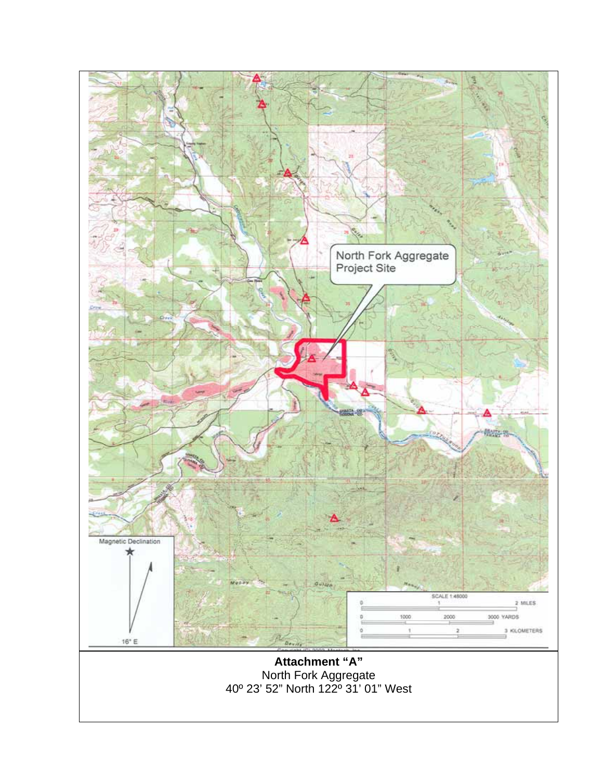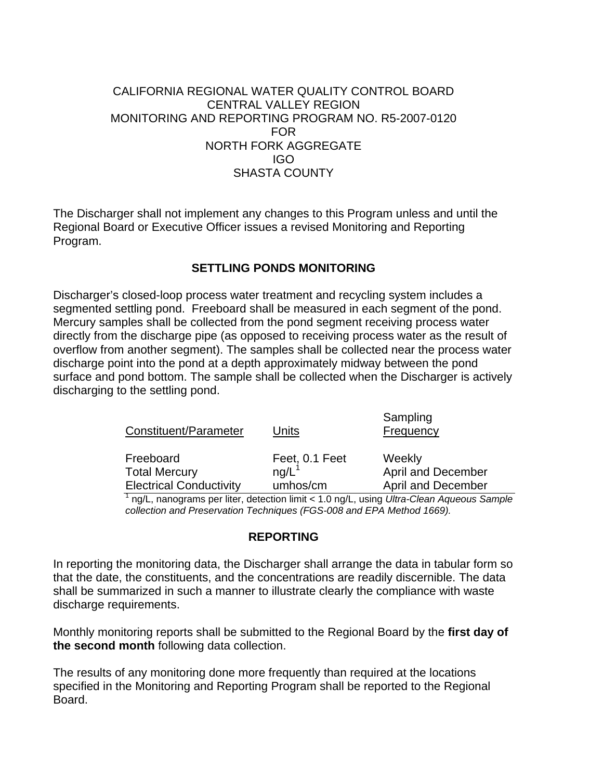# CALIFORNIA REGIONAL WATER QUALITY CONTROL BOARD CENTRAL VALLEY REGION MONITORING AND REPORTING PROGRAM NO. R5-2007-0120 FOR NORTH FORK AGGREGATE IGO SHASTA COUNTY

The Discharger shall not implement any changes to this Program unless and until the Regional Board or Executive Officer issues a revised Monitoring and Reporting Program.

# **SETTLING PONDS MONITORING**

Discharger's closed-loop process water treatment and recycling system includes a segmented settling pond. Freeboard shall be measured in each segment of the pond. Mercury samples shall be collected from the pond segment receiving process water directly from the discharge pipe (as opposed to receiving process water as the result of overflow from another segment). The samples shall be collected near the process water discharge point into the pond at a depth approximately midway between the pond surface and pond bottom. The sample shall be collected when the Discharger is actively discharging to the settling pond.

| Constituent/Parameter          | Units               | Sampling<br>Frequency     |
|--------------------------------|---------------------|---------------------------|
| Freeboard                      | Feet, 0.1 Feet      | Weekly                    |
| <b>Total Mercury</b>           | $nq/L$ <sup>1</sup> | April and December        |
| <b>Electrical Conductivity</b> | umhos/cm            | <b>April and December</b> |

1 ng/L, nanograms per liter, detection limit < 1.0 ng/L, using *Ultra-Clean Aqueous Sample collection and Preservation Techniques (FGS-008 and EPA Method 1669).* 

# **REPORTING**

In reporting the monitoring data, the Discharger shall arrange the data in tabular form so that the date, the constituents, and the concentrations are readily discernible. The data shall be summarized in such a manner to illustrate clearly the compliance with waste discharge requirements.

Monthly monitoring reports shall be submitted to the Regional Board by the **first day of the second month** following data collection.

The results of any monitoring done more frequently than required at the locations specified in the Monitoring and Reporting Program shall be reported to the Regional Board.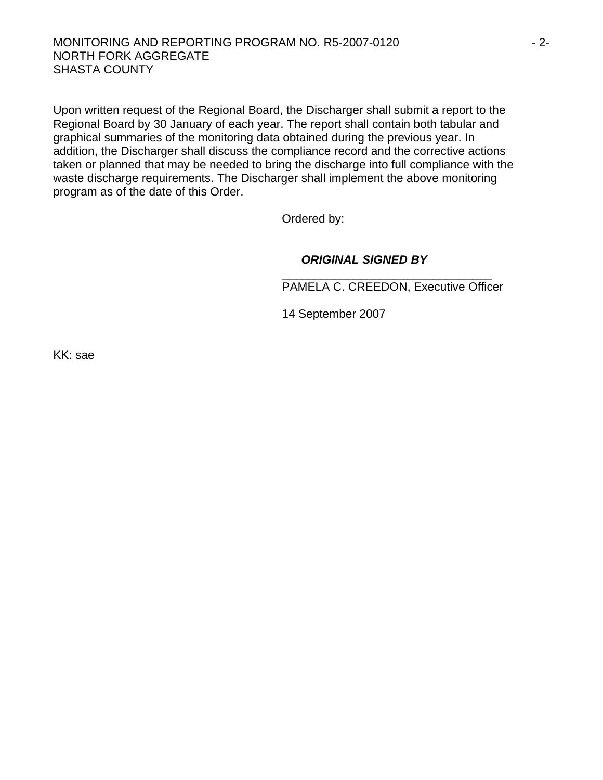#### MONITORING AND REPORTING PROGRAM NO. R5-2007-0120  $-2$ -NORTH FORK AGGREGATE SHASTA COUNTY

Upon written request of the Regional Board, the Discharger shall submit a report to the Regional Board by 30 January of each year. The report shall contain both tabular and graphical summaries of the monitoring data obtained during the previous year. In addition, the Discharger shall discuss the compliance record and the corrective actions taken or planned that may be needed to bring the discharge into full compliance with the waste discharge requirements. The Discharger shall implement the above monitoring program as of the date of this Order.

Ordered by:

#### *ORIGINAL SIGNED BY*

\_\_\_\_\_\_\_\_\_\_\_\_\_\_\_\_\_\_\_\_\_\_\_\_\_\_\_\_\_\_\_\_ PAMELA C. CREEDON, Executive Officer

14 September 2007

KK: sae